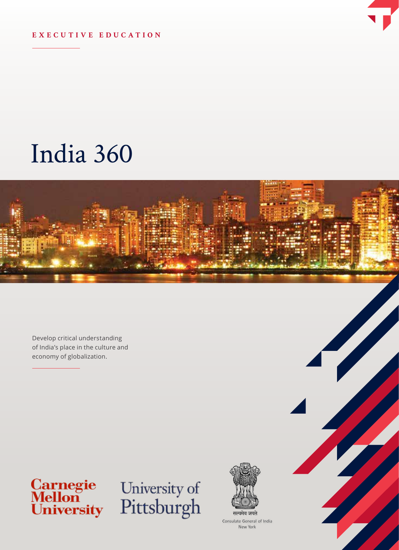

#### **EXECUTIVE EDUCATION**

# India 360



Develop critical understanding of India's place in the culture and economy of globalization.



# University of<br>Pittsburgh



Consulate General of India New York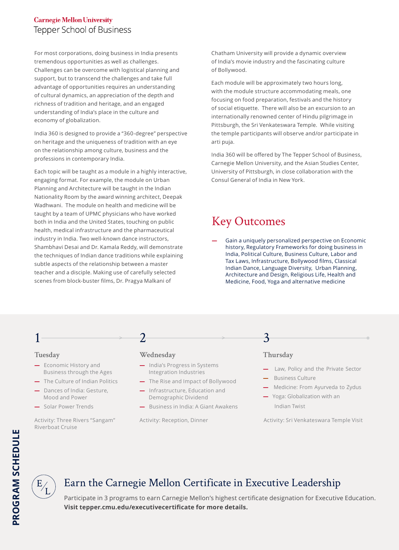#### **Carnegie Mellon University** Tepper School of Business

For most corporations, doing business in India presents tremendous opportunities as well as challenges. Challenges can be overcome with logistical planning and support, but to transcend the challenges and take full advantage of opportunities requires an understanding of cultural dynamics, an appreciation of the depth and richness of tradition and heritage, and an engaged understanding of India's place in the culture and economy of globalization.

India 360 is designed to provide a "360-degree" perspective on heritage and the uniqueness of tradition with an eye on the relationship among culture, business and the professions in contemporary India.

Each topic will be taught as a module in a highly interactive, engaging format. For example, the module on Urban Planning and Architecture will be taught in the Indian Nationality Room by the award winning architect, Deepak Wadhwani. The module on health and medicine will be taught by a team of UPMC physicians who have worked both in India and the United States, touching on public health, medical infrastructure and the pharmaceutical industry in India. Two well-known dance instructors, Shambhavi Desai and Dr. Kamala Reddy, will demonstrate the techniques of Indian dance traditions while explaining subtle aspects of the relationship between a master teacher and a disciple. Making use of carefully selected scenes from block-buster films, Dr. Pragya Malkani of

Chatham University will provide a dynamic overview of India's movie industry and the fascinating culture of Bollywood.

Each module will be approximately two hours long, with the module structure accommodating meals, one focusing on food preparation, festivals and the history of social etiquette. There will also be an excursion to an internationally renowned center of Hindu pilgrimage in Pittsburgh, the Sri Venkateswara Temple. While visiting the temple participants will observe and/or participate in arti puja.

India 360 will be offered by The Tepper School of Business, Carnegie Mellon University, and the Asian Studies Center, University of Pittsburgh, in close collaboration with the Consul General of India in New York.

# Key Outcomes

**—** Gain a uniquely personalized perspective on Economic history, Regulatory Frameworks for doing business in India, Political Culture, Business Culture, Labor and Tax Laws, Infrastructure, Bollywood films, Classical Indian Dance, Language Diversity, Urban Planning, Architecture and Design, Religious Life, Health and Medicine, Food, Yoga and alternative medicine

#### **Tuesday**

1

- **—** Economic History and Business through the Ages
- **—** The Culture of Indian Politics
- **—** Dances of India: Gesture, Mood and Power
- **—** Solar Power Trends

Activity: Three Rivers "Sangam" Riverboat Cruise

#### **Wednesday**

 $\overline{\mathcal{L}}$ 

**—** India's Progress in Systems Integration Industries

 $> 2$ 

- **—** The Rise and Impact of Bollywood
- **—** Infrastructure, Education and Demographic Dividend
- **—** Business in India: A Giant Awakens

Activity: Reception, Dinner

#### **Thursday**

3

- **—** Law, Policy and the Private Sector
- Business Culture
- **—** Medicine: From Ayurveda to Zydus
- **—** Yoga: Globalization with an Indian Twist

Activity: Sri Venkateswara Temple Visit



## Earn the Carnegie Mellon Certificate in Executive Leadership

Participate in 3 programs to earn Carnegie Mellon's highest certificate designation for Executive Education. **Visit tepper.cmu.edu/executivecertificate for more details.**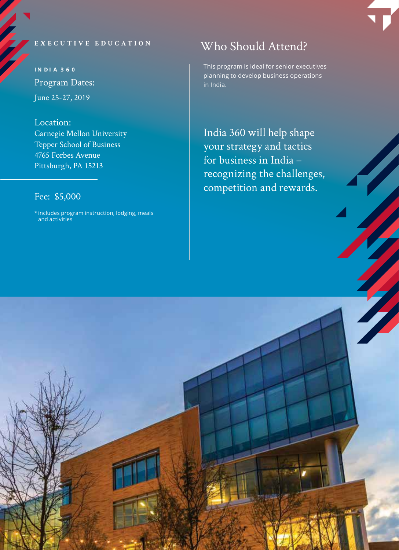#### **EXECUTIVE EDUCATION**

**I N D I A 3 6 0** Program Dates: June 25-27, 2019

Location: Carnegie Mellon University Tepper School of Business 4765 Forbes Avenue Pittsburgh, PA 15213

#### Fee: \$5,000

\* includes program instruction, lodging, meals and activities

# Who Should Attend?

This program is ideal for senior executives planning to develop business operations in India.

India 360 will help shape your strategy and tactics for business in India – recognizing the challenges, competition and rewards.